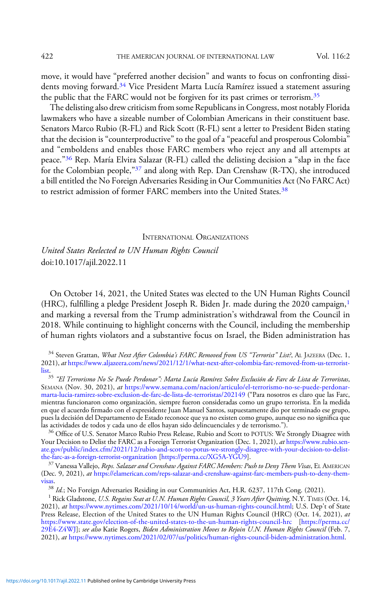move, it would have "preferred another decision" and wants to focus on confronting dissidents moving forward.<sup>34</sup> Vice President Marta Lucía Ramírez issued a statement assuring the public that the FARC would not be forgiven for its past crimes or terrorism.<sup>35</sup>

The delisting also drew criticism from some Republicans in Congress, most notably Florida lawmakers who have a sizeable number of Colombian Americans in their constituent base. Senators Marco Rubio (R-FL) and Rick Scott (R-FL) sent a letter to President Biden stating that the decision is "counterproductive" to the goal of a "peaceful and prosperous Colombia" and "emboldens and enables those FARC members who reject any and all attempts at peace."<sup>36</sup> Rep. María Elvira Salazar (R-FL) called the delisting decision a "slap in the face for the Colombian people,"<sup>37</sup> and along with Rep. Dan Crenshaw (R-TX), she introduced a bill entitled the No Foreign Adversaries Residing in Our Communities Act (No FARC Act) to restrict admission of former FARC members into the United States.<sup>38</sup>

INTERNATIONAL ORGANIZATIONS

United States Reelected to UN Human Rights Council doi:10.1017/ajil.2022.11

On October 14, 2021, the United States was elected to the UN Human Rights Council (HRC), fulfilling a pledge President Joseph R. Biden Jr. made during the 2020 campaign, $<sup>1</sup>$ </sup> and marking a reversal from the Trump administration's withdrawal from the Council in 2018. While continuing to highlight concerns with the Council, including the membership of human rights violators and a substantive focus on Israel, the Biden administration has

<sup>35</sup> "El Terrorismo No Se Puede Perdonar": Marta Lucía Ramírez Sobre Exclusión de Farc de Lista de Terroristas, SEMANA (Nov. 30, 2021), at [https://www.semana.com/nacion/articulo/el-terrorismo-no-se-puede-perdonar](https://www.semana.com/nacion/articulo/el-terrorismo-no-se-puede-perdonar-marta-lucia-ramirez-sobre-exclusion-de-farc-de-lista-de-terroristas/202149/)[marta-lucia-ramirez-sobre-exclusion-de-farc-de-lista-de-terroristas/202149](https://www.semana.com/nacion/articulo/el-terrorismo-no-se-puede-perdonar-marta-lucia-ramirez-sobre-exclusion-de-farc-de-lista-de-terroristas/202149/) ("Para nosotros es claro que las Farc, mientras funcionaron como organización, siempre fueron consideradas como un grupo terrorista. En la medida en que el acuerdo firmado con el expresidente Juan Manuel Santos, supuestamente dio por terminado ese grupo, pues la decisión del Departamento de Estado reconoce que ya no existen como grupo, aunque eso no significa que

 $36$  Office of U.S. Senator Marco Rubio Press Release, Rubio and Scott to POTUS: We Strongly Disagree with Your Decision to Delist the FARC as a Foreign Terrorist Organization (Dec. 1, 2021), at [https://www.rubio.sen](https://www.rubio.senate.gov/public/index.cfm/2021/12/rubio-and-scott-to-potus-we-strongly-disagree-with-your-decision-to-delist-the-farc-as-a-foreign-terrorist-organization)[ate.gov/public/index.cfm/2021/12/rubio-and-scott-to-potus-we-strongly-disagree-with-your-decision-to-delist-](https://www.rubio.senate.gov/public/index.cfm/2021/12/rubio-and-scott-to-potus-we-strongly-disagree-with-your-decision-to-delist-the-farc-as-a-foreign-terrorist-organization)

 $^{37}$  Vanessa Vallejo, *Reps. Salazar and Crenshaw Against FARC Members: Push to Deny Them Visas*, EL AMERICAN (Dec. 9, 2021), at [https://elamerican.com/reps-salazar-and-crenshaw-against-farc-members-push-to-deny-them](https://elamerican.com/reps-salazar-and-crenshaw-against-farc-members-push-to-deny-them-visas/)[visas](https://elamerican.com/reps-salazar-and-crenshaw-against-farc-members-push-to-deny-them-visas/).

<sup>38</sup> Id.; No Foreign Adversaries Residing in our Communities Act, H.R. 6237, 117th Cong. (2021).<br><sup>1</sup> Rick Gladstone, U.S. *Regains Seat at U.N. Human Rights Council, 3 Years After Quitting,* N.Y. TIMES (Oct. 14, 2021), at [https://www.nytimes.com/2021/10/14/world/un-us-human-rights-council.html;](https://www.nytimes.com/2021/10/14/world/un-us-human-rights-council.html) U.S. Dep't of State Press Release, Election of the United States to the UN Human Rights Council (HRC) (Oct. 14, 2021), at <https://www.state.gov/election-of-the-united-states-to-the-un-human-rights-council-hrc> [\[https://perma.cc/](https://perma.cc/29E4-Z4WJ) [29E4-Z4WJ\]](https://perma.cc/29E4-Z4WJ); see also Katie Rogers, *Biden Administration Moves to Rejoin U.N. Human Rights Council* (Feb. 7, 2021), at <https://www.nytimes.com/2021/02/07/us/politics/human-rights-council-biden-administration.html>.

<sup>&</sup>lt;sup>34</sup> Steven Grattan, What Next After Colombia's FARC Removed from US "Terrorist" List?, AL JAZEERA (Dec. 1, 2021), at [https://www.aljazeera.com/news/2021/12/1/what-next-after-colombia-farc-removed-from-us-terrorist](https://www.aljazeera.com/news/2021/12/1/what-next-after-colombia-farc-removed-from-us-terrorist-list)[list](https://www.aljazeera.com/news/2021/12/1/what-next-after-colombia-farc-removed-from-us-terrorist-list).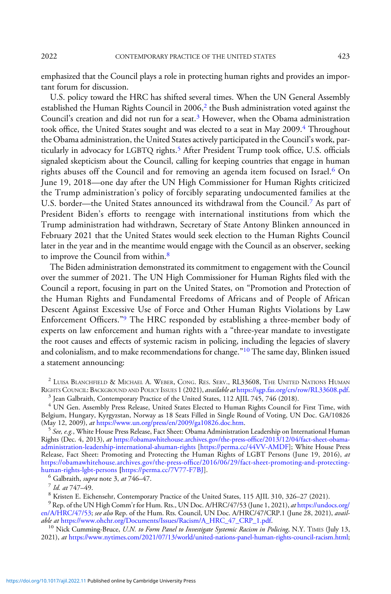emphasized that the Council plays a role in protecting human rights and provides an important forum for discussion.

U.S. policy toward the HRC has shifted several times. When the UN General Assembly established the Human Rights Council in  $2006<sup>2</sup>$  the Bush administration voted against the Council's creation and did not run for a seat.<sup>3</sup> However, when the Obama administration took office, the United States sought and was elected to a seat in May 2009.<sup>4</sup> Throughout the Obama administration, the United States actively participated in the Council's work, particularly in advocacy for LGBTQ rights.<sup>5</sup> After President Trump took office, U.S. officials signaled skepticism about the Council, calling for keeping countries that engage in human rights abuses off the Council and for removing an agenda item focused on Israel.<sup>6</sup> On June 19, 2018—one day after the UN High Commissioner for Human Rights criticized the Trump administration's policy of forcibly separating undocumented families at the U.S. border—the United States announced its withdrawal from the Council.<sup>7</sup> As part of President Biden's efforts to reengage with international institutions from which the Trump administration had withdrawn, Secretary of State Antony Blinken announced in February 2021 that the United States would seek election to the Human Rights Council later in the year and in the meantime would engage with the Council as an observer, seeking to improve the Council from within.<sup>8</sup>

The Biden administration demonstrated its commitment to engagement with the Council over the summer of 2021. The UN High Commissioner for Human Rights filed with the Council a report, focusing in part on the United States, on "Promotion and Protection of the Human Rights and Fundamental Freedoms of Africans and of People of African Descent Against Excessive Use of Force and Other Human Rights Violations by Law Enforcement Officers."<sup>9</sup> The HRC responded by establishing a three-member body of experts on law enforcement and human rights with a "three-year mandate to investigate the root causes and effects of systemic racism in policing, including the legacies of slavery and colonialism, and to make recommendations for change."<sup>10</sup> The same day, Blinken issued a statement announcing:

<sup>2</sup> LUISA BLANCHFIELD & MICHAEL A. WEBER, CONG. RES. SERV., RL33608, THE UNITED NATIONS HUMAN RIGHTS COUNCIL: BACKGROUND AND POLICY ISSUES 1 (2021), *available at* [https://sgp.fas.org/crs/row/RL33608.pdf.](https://sgp.fas.org/crs/row/RL33608.pdf) <sup>3</sup> Jean Galbraith, Contemporary Practice of the United States, 112 AJIL 745, 746 (2018).

<sup>4</sup> UN Gen. Assembly Press Release, United States Elected to Human Rights Council for First Time, with Belgium, Hungary, Kyrgyzstan, Norway as 18 Seats Filled in Single Round of Voting, UN Doc. GA/10826<br>(May 12, 2009), *at* https://www.un.org/press/en/2009/ga10826.doc.htm.

 $^5$  See, e.g., White House Press Release, Fact Sheet: Obama Administration Leadership on International Human Rights (Dec. 4, 2013), at [https://obamawhitehouse.archives.gov/the-press-of](https://obamawhitehouse.archives.gov/the-press-office/2013/12/04/fact-sheet-obama-administration-leadership-international-human-rights)fice/2013/12/04/fact-sheet-obama[administration-leadership-international-ahuman-rights](https://obamawhitehouse.archives.gov/the-press-office/2013/12/04/fact-sheet-obama-administration-leadership-international-human-rights) [[https://perma.cc/44VV-AMDF\]](https://perma.cc/44VV-AMDF); White House Press Release, Fact Sheet: Promoting and Protecting the Human Rights of LGBT Persons (June 19, 2016), at [https:/](https://obamawhitehouse.archives.gov/the-press-office/2016/06/29/fact-sheet-promoting-and-protecting-human-rights-lgbt-persons)/obamawhitehouse.archives.gov/the-press-offi[ce/2016/06/29/fact-sheet-promoting-and-protecting-](https://obamawhitehouse.archives.gov/the-press-office/2016/06/29/fact-sheet-promoting-and-protecting-human-rights-lgbt-persons)

<sup>6</sup> Galbraith, *supra* note 3, *at* 746–47.<br>
<sup>7</sup> Id. *at* 747–49.<br>
<sup>8</sup> Kristen E. Eichensehr, Contemporary Practice of the United States, 115 AJIL 310, 326–27 (2021).<br>
<sup>9</sup> Rep. of the UN High Comm'r for Hum. Rts., UN Doc.

[en/A/HRC/47/53](https://undocs.org/en/A/HRC/47/53); see also Rep. of the Hum. Rts. Council, UN Doc. A/HRC/47/CRP.1 (June 28, 2021), avail-<br>able at https://www.ohchr.org/Documents/Issues/Racism/A\_HRC\_47\_CRP\_1.pdf.

 $^{10}$  Nick Cumming-Bruce, U.N. to Form Panel to Investigate Systemic Racism in Policing, N.Y. TIMES (July 13, 2021), at [https://www.nytimes.com/2021/07/13/world/united-nations-panel-human-rights-council-racism.html;](https://www.nytimes.com/2021/07/13/world/united-nations-panel-human-rights-council-racism.html)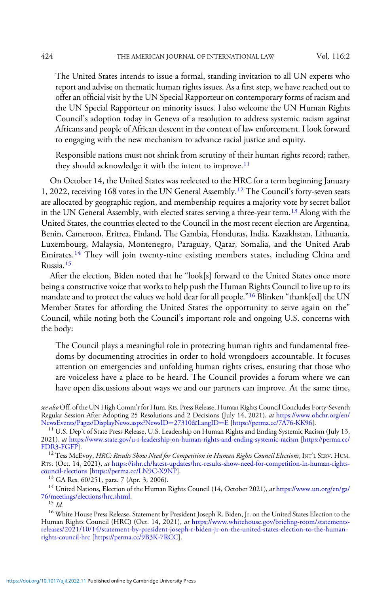The United States intends to issue a formal, standing invitation to all UN experts who report and advise on thematic human rights issues. As a first step, we have reached out to offer an official visit by the UN Special Rapporteur on contemporary forms of racism and the UN Special Rapporteur on minority issues. I also welcome the UN Human Rights Council's adoption today in Geneva of a resolution to address systemic racism against Africans and people of African descent in the context of law enforcement. I look forward to engaging with the new mechanism to advance racial justice and equity.

Responsible nations must not shrink from scrutiny of their human rights record; rather, they should acknowledge it with the intent to improve.<sup>11</sup>

On October 14, the United States was reelected to the HRC for a term beginning January 1, 2022, receiving 168 votes in the UN General Assembly.<sup>12</sup> The Council's forty-seven seats are allocated by geographic region, and membership requires a majority vote by secret ballot in the UN General Assembly, with elected states serving a three-year term.<sup>13</sup> Along with the United States, the countries elected to the Council in the most recent election are Argentina, Benin, Cameroon, Eritrea, Finland, The Gambia, Honduras, India, Kazakhstan, Lithuania, Luxembourg, Malaysia, Montenegro, Paraguay, Qatar, Somalia, and the United Arab Emirates.<sup>14</sup> They will join twenty-nine existing members states, including China and Russia.<sup>15</sup>

After the election, Biden noted that he "look[s] forward to the United States once more being a constructive voice that works to help push the Human Rights Council to live up to its mandate and to protect the values we hold dear for all people."<sup>16</sup> Blinken "thank[ed] the UN Member States for affording the United States the opportunity to serve again on the" Council, while noting both the Council's important role and ongoing U.S. concerns with the body:

The Council plays a meaningful role in protecting human rights and fundamental freedoms by documenting atrocities in order to hold wrongdoers accountable. It focuses attention on emergencies and unfolding human rights crises, ensuring that those who are voiceless have a place to be heard. The Council provides a forum where we can have open discussions about ways we and our partners can improve. At the same time,

see also Off. of the UN High Comm'r for Hum. Rts. Press Release, Human Rights Council Concludes Forty-Seventh Regular Session After Adopting 25 Resolutions and 2 Decisions (July 14, 2021), at [https://www.ohchr.org/en/](https://www.ohchr.org/en/NewsEvents/Pages/DisplayNews.aspx?NewsID=27310&LangID=E)<br>NewsEvents/Pages/DisplayNews.aspx?NewsID=27310&LangID=E [https://perma.cc/7A76-KK96].

 $^{11}$  U.S. Dep't of State Press Release, U.S. Leadership on Human Rights and [E](https://www.ohchr.org/en/NewsEvents/Pages/DisplayNews.aspx?NewsID=27310&LangID=E)nding Systemic Racism (July 13, 2021), at <https://www.state.gov/u-s-leadership-on-human-rights-and-ending-systemic-racism> [\[https://perma.cc/](https://perma.cc/FDR3-FGFP)

 $^{12}$  Tess McEvoy, HRC: Results Show Need for Competition in Human Rights Council Elections, INT'L SERV. HUM. RTS. (Oct. 14, 2021), at https://ishr.ch/latest-updates/hrc-results-show-need-for-competition-in-human-rights-council-elections [https://perma.cc/LN9C-X9NP].

<sup>13</sup> GA Res. 60/251, para. 7 (Apr. 3, 2006). <sup>14</sup> United Nations, Election of the Human Rights Council (14, October 2021), *at* [https://www.un.org/en/ga/](https://www.un.org/en/ga/76/meetings/elections/hrc.shtml)<br>76/meetings/elections/hrc.shtml.

 $^{15}$  *Id.*  $^{16}$  White House Press Release, Statement by President Joseph R. Biden, Jr. on the United States Election to the Human Rights Council (HRC) (Oct. 14, 2021), at [https://www.whitehouse.gov/brie](https://www.whitehouse.gov/briefing-room/statements-releases/2021/10/14/statement-by-president-joseph-r-biden-jr-on-the-united-states-election-to-the-human-rights-council-hrc/)fing-room/statements[releases/2021/10/14/statement-by-president-joseph-r-biden-jr-on-the-united-states-election-to-the-human](https://www.whitehouse.gov/briefing-room/statements-releases/2021/10/14/statement-by-president-joseph-r-biden-jr-on-the-united-states-election-to-the-human-rights-council-hrc/)[rights-council-hrc](https://www.whitehouse.gov/briefing-room/statements-releases/2021/10/14/statement-by-president-joseph-r-biden-jr-on-the-united-states-election-to-the-human-rights-council-hrc/) [\[https://perma.cc/9B3K-7RCC](https://perma.cc/9B3K-7RCC)].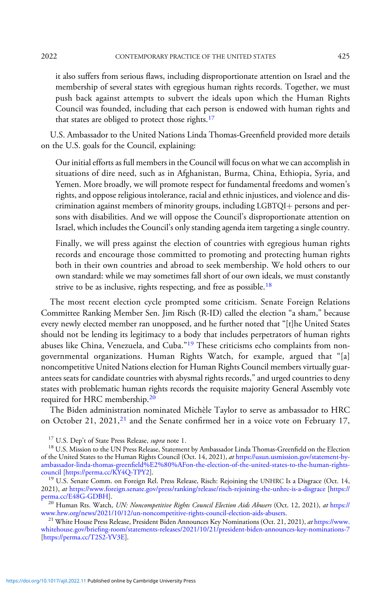it also suffers from serious flaws, including disproportionate attention on Israel and the membership of several states with egregious human rights records. Together, we must push back against attempts to subvert the ideals upon which the Human Rights Council was founded, including that each person is endowed with human rights and that states are obliged to protect those rights.<sup>17</sup>

U.S. Ambassador to the United Nations Linda Thomas-Greenfield provided more details on the U.S. goals for the Council, explaining:

Our initial efforts as full members in the Council will focus on what we can accomplish in situations of dire need, such as in Afghanistan, Burma, China, Ethiopia, Syria, and Yemen. More broadly, we will promote respect for fundamental freedoms and women's rights, and oppose religious intolerance, racial and ethnic injustices, and violence and discrimination against members of minority groups, including LGBTQI+ persons and persons with disabilities. And we will oppose the Council's disproportionate attention on Israel, which includes the Council's only standing agenda item targeting a single country.

Finally, we will press against the election of countries with egregious human rights records and encourage those committed to promoting and protecting human rights both in their own countries and abroad to seek membership. We hold others to our own standard: while we may sometimes fall short of our own ideals, we must constantly strive to be as inclusive, rights respecting, and free as possible.<sup>18</sup>

The most recent election cycle prompted some criticism. Senate Foreign Relations Committee Ranking Member Sen. Jim Risch (R-ID) called the election "a sham," because every newly elected member ran unopposed, and he further noted that "[t]he United States should not be lending its legitimacy to a body that includes perpetrators of human rights abuses like China, Venezuela, and Cuba."<sup>19</sup> These criticisms echo complaints from nongovernmental organizations. Human Rights Watch, for example, argued that "[a] noncompetitive United Nations election for Human Rights Council members virtually guarantees seats for candidate countries with abysmal rights records," and urged countries to deny states with problematic human rights records the requisite majority General Assembly vote required for HRC membership.<sup>20</sup>

The Biden administration nominated Michèle Taylor to serve as ambassador to HRC on October 21, 2021,<sup>21</sup> and the Senate confirmed her in a voice vote on February 17,

<sup>20</sup> Human Rts. Watch, *UN: Noncompetitive Rights Council Election Aids Abusers* (Oct. 12, 2021), *at [https://](https://www.hrw.org/news/2021/10/12/un-noncompetitive-rights-council-election-aids-abusers)*<br>www.hrw.org/news/2021/10/12/un-noncompetitive-rights-council-election-aids-abusers.

<sup>21</sup> White House Press Release, President Biden Announces Key Nominations (Oct. 21, 2021), at [https://www.](https://www.whitehouse.gov/briefing-room/statements-releases/2021/10/21/president-biden-announces-key-nominations-7/) whitehouse.gov/briefi[ng-room/statements-releases/2021/10/21/president-biden-announces-key-nominations-7](https://www.whitehouse.gov/briefing-room/statements-releases/2021/10/21/president-biden-announces-key-nominations-7/) [<https://perma.cc/T2S2-YV3E>].

<sup>&</sup>lt;sup>17</sup> U.S. Dep't of State Press Release, *supra* note 1.<br><sup>18</sup> U.S. Mission to the UN Press Release, Statement by Ambassador Linda Thomas-Greenfield on the Election of the United States to the Human Rights Council (Oct. 14, 2021), at [https://usun.usmission.gov/statement-by](https://usun.usmission.gov/statement-by-ambassador-linda-thomas-greenfield%E2%80%AFon-the-election-of-the-united-states-to-the-human-rights-council/)ambassador-linda-thomas-greenfi[eld%E2%80%AFon-the-election-of-the-united-states-to-the-human-rights-](https://usun.usmission.gov/statement-by-ambassador-linda-thomas-greenfield%E2%80%AFon-the-election-of-the-united-states-to-the-human-rights-council/)

 $19$  U.S. Senate Comm. on Foreign Rel. Press Release, Risch: Rejoining the UNHRC Is a Disgrace (Oct. 14, 2021), at <https://www.foreign.senate.gov/press/ranking/release/risch-rejoining-the-unhrc-is-a-disgrace> [\[https://](https://perma.cc/E48G-GDBH)